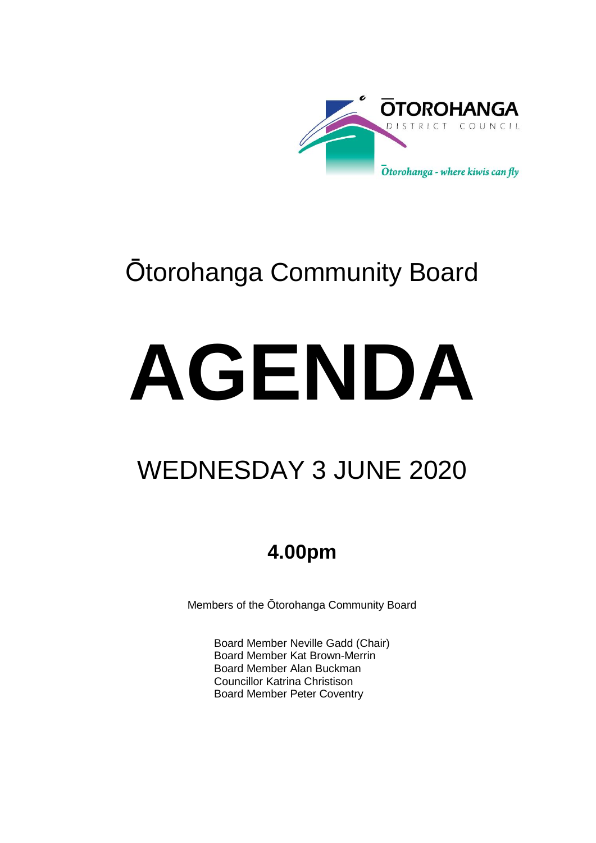

# Ōtorohanga Community Board

# **AGENDA**

# WEDNESDAY 3 JUNE 2020

## **4.00pm**

Members of the Ōtorohanga Community Board

Board Member Neville Gadd (Chair) Board Member Kat Brown-Merrin Board Member Alan Buckman Councillor Katrina Christison Board Member Peter Coventry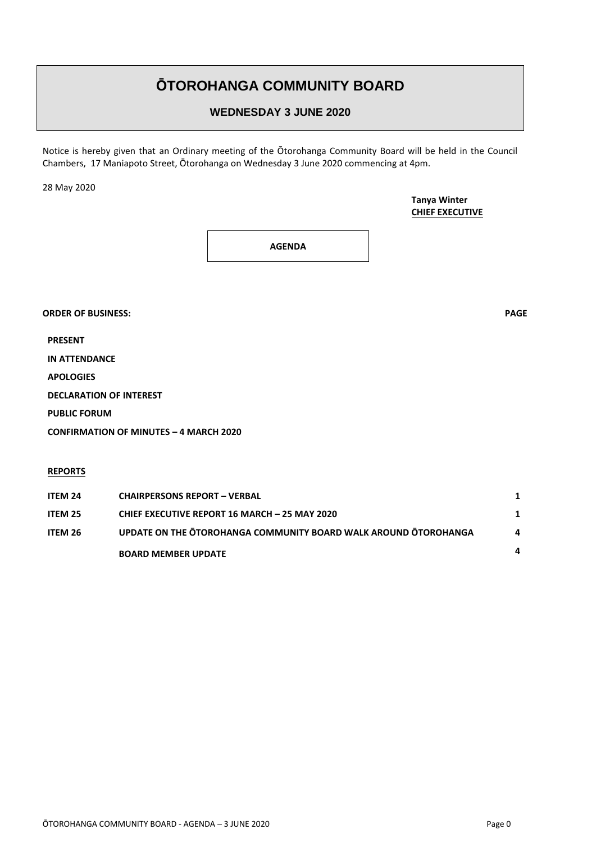### **ŌTOROHANGA COMMUNITY BOARD**

#### **WEDNESDAY 3 JUNE 2020**

Notice is hereby given that an Ordinary meeting of the Ōtorohanga Community Board will be held in the Council Chambers, 17 Maniapoto Street, Ōtorohanga on Wednesday 3 June 2020 commencing at 4pm.

28 May 2020

**Tanya Winter CHIEF EXECUTIVE**

**AGENDA**

**ORDER OF BUSINESS: PAGE**

**PRESENT**

**IN ATTENDANCE**

**APOLOGIES**

**DECLARATION OF INTEREST**

**PUBLIC FORUM**

**CONFIRMATION OF MINUTES – 4 MARCH 2020**

**REPORTS**

| ITEM 24 | <b>CHAIRPERSONS REPORT - VERBAL</b>                             |              |
|---------|-----------------------------------------------------------------|--------------|
| ITEM 25 | <b>CHIEF EXECUTIVE REPORT 16 MARCH - 25 MAY 2020</b>            |              |
| ITEM 26 | UPDATE ON THE OTOROHANGA COMMUNITY BOARD WALK AROUND OTOROHANGA | $\mathbf{a}$ |
|         | <b>BOARD MEMBER UPDATE</b>                                      | 4            |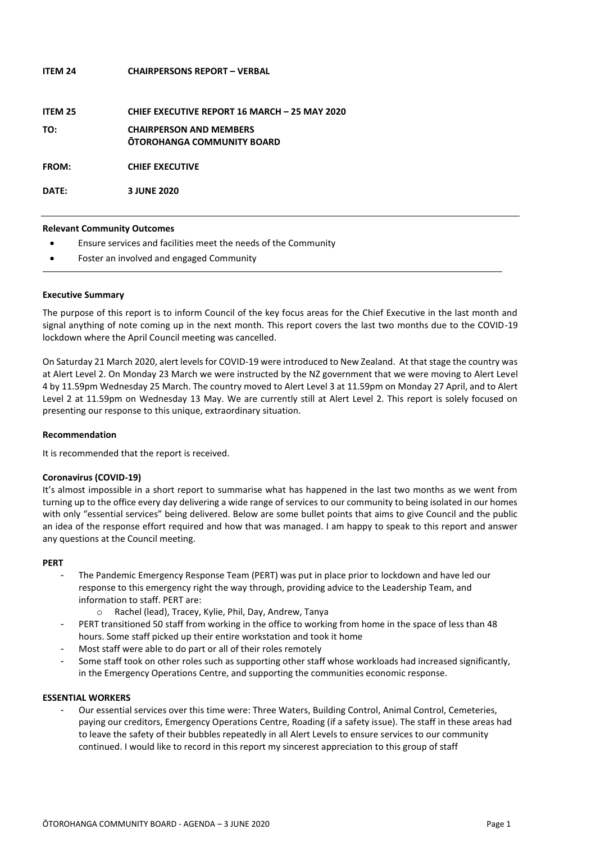| <b>ITEM 24</b> | <b>CHAIRPERSONS REPORT - VERBAL</b>                                 |
|----------------|---------------------------------------------------------------------|
| ITEM 25        | <b>CHIEF EXECUTIVE REPORT 16 MARCH - 25 MAY 2020</b>                |
| TO:            | <b>CHAIRPERSON AND MEMBERS</b><br><b>OTOROHANGA COMMUNITY BOARD</b> |
| <b>FROM:</b>   | <b>CHIEF EXECUTIVE</b>                                              |
| DATE:          | 3 JUNE 2020                                                         |

#### **Relevant Community Outcomes**

- Ensure services and facilities meet the needs of the Community
- Foster an involved and engaged Community

#### **Executive Summary**

The purpose of this report is to inform Council of the key focus areas for the Chief Executive in the last month and signal anything of note coming up in the next month. This report covers the last two months due to the COVID-19 lockdown where the April Council meeting was cancelled.

On Saturday 21 March 2020, alert levels for COVID-19 were introduced to New Zealand. At that stage the country was at Alert Level 2. On Monday 23 March we were instructed by the NZ government that we were moving to Alert Level 4 by 11.59pm Wednesday 25 March. The country moved to Alert Level 3 at 11.59pm on Monday 27 April, and to Alert Level 2 at 11.59pm on Wednesday 13 May. We are currently still at Alert Level 2. This report is solely focused on presenting our response to this unique, extraordinary situation.

#### **Recommendation**

It is recommended that the report is received.

#### **Coronavirus (COVID-19)**

It's almost impossible in a short report to summarise what has happened in the last two months as we went from turning up to the office every day delivering a wide range of services to our community to being isolated in our homes with only "essential services" being delivered. Below are some bullet points that aims to give Council and the public an idea of the response effort required and how that was managed. I am happy to speak to this report and answer any questions at the Council meeting.

#### **PERT**

- The Pandemic Emergency Response Team (PERT) was put in place prior to lockdown and have led our response to this emergency right the way through, providing advice to the Leadership Team, and information to staff. PERT are:
	- o Rachel (lead), Tracey, Kylie, Phil, Day, Andrew, Tanya
- PERT transitioned 50 staff from working in the office to working from home in the space of less than 48 hours. Some staff picked up their entire workstation and took it home
- Most staff were able to do part or all of their roles remotely
- Some staff took on other roles such as supporting other staff whose workloads had increased significantly, in the Emergency Operations Centre, and supporting the communities economic response.

#### **ESSENTIAL WORKERS**

Our essential services over this time were: Three Waters, Building Control, Animal Control, Cemeteries, paying our creditors, Emergency Operations Centre, Roading (if a safety issue). The staff in these areas had to leave the safety of their bubbles repeatedly in all Alert Levels to ensure services to our community continued. I would like to record in this report my sincerest appreciation to this group of staff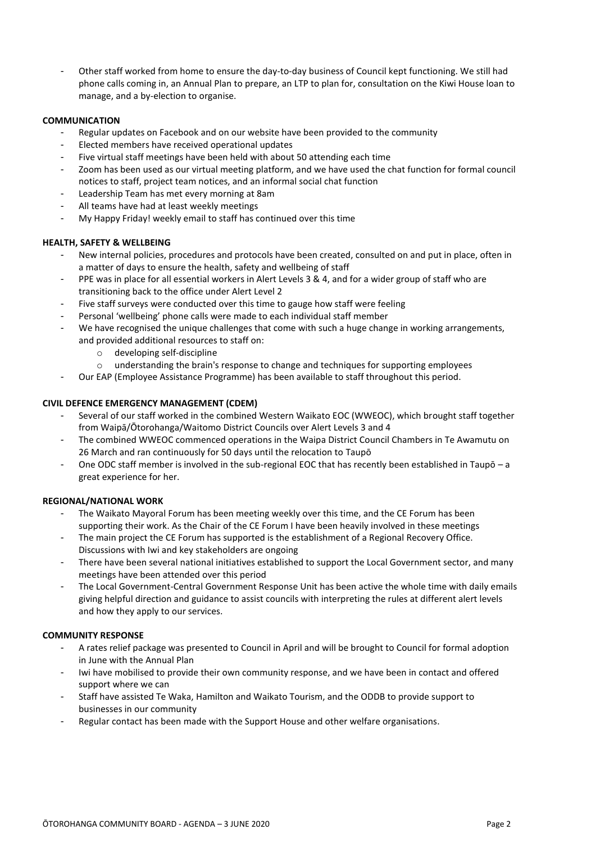Other staff worked from home to ensure the day-to-day business of Council kept functioning. We still had phone calls coming in, an Annual Plan to prepare, an LTP to plan for, consultation on the Kiwi House loan to manage, and a by-election to organise.

#### **COMMUNICATION**

- Regular updates on Facebook and on our website have been provided to the community
- Elected members have received operational updates
- Five virtual staff meetings have been held with about 50 attending each time
- Zoom has been used as our virtual meeting platform, and we have used the chat function for formal council notices to staff, project team notices, and an informal social chat function
- Leadership Team has met every morning at 8am
- All teams have had at least weekly meetings
- My Happy Friday! weekly email to staff has continued over this time

#### **HEALTH, SAFETY & WELLBEING**

- New internal policies, procedures and protocols have been created, consulted on and put in place, often in a matter of days to ensure the health, safety and wellbeing of staff
- PPE was in place for all essential workers in Alert Levels 3 & 4, and for a wider group of staff who are transitioning back to the office under Alert Level 2
- Five staff surveys were conducted over this time to gauge how staff were feeling
- Personal 'wellbeing' phone calls were made to each individual staff member
- We have recognised the unique challenges that come with such a huge change in working arrangements, and provided additional resources to staff on:
	- o developing self-discipline
	- o understanding the brain's response to change and techniques for supporting employees
- Our EAP (Employee Assistance Programme) has been available to staff throughout this period.

#### **CIVIL DEFENCE EMERGENCY MANAGEMENT (CDEM)**

- Several of our staff worked in the combined Western Waikato EOC (WWEOC), which brought staff together from Waipā/Ōtorohanga/Waitomo District Councils over Alert Levels 3 and 4
- The combined WWEOC commenced operations in the Waipa District Council Chambers in Te Awamutu on 26 March and ran continuously for 50 days until the relocation to Taupō
- One ODC staff member is involved in the sub-regional EOC that has recently been established in Taupō a great experience for her.

#### **REGIONAL/NATIONAL WORK**

- The Waikato Mayoral Forum has been meeting weekly over this time, and the CE Forum has been supporting their work. As the Chair of the CE Forum I have been heavily involved in these meetings
- The main project the CE Forum has supported is the establishment of a Regional Recovery Office. Discussions with Iwi and key stakeholders are ongoing
- There have been several national initiatives established to support the Local Government sector, and many meetings have been attended over this period
- The Local Government-Central Government Response Unit has been active the whole time with daily emails giving helpful direction and guidance to assist councils with interpreting the rules at different alert levels and how they apply to our services.

#### **COMMUNITY RESPONSE**

- A rates relief package was presented to Council in April and will be brought to Council for formal adoption in June with the Annual Plan
- Iwi have mobilised to provide their own community response, and we have been in contact and offered support where we can
- Staff have assisted Te Waka, Hamilton and Waikato Tourism, and the ODDB to provide support to businesses in our community
- Regular contact has been made with the Support House and other welfare organisations.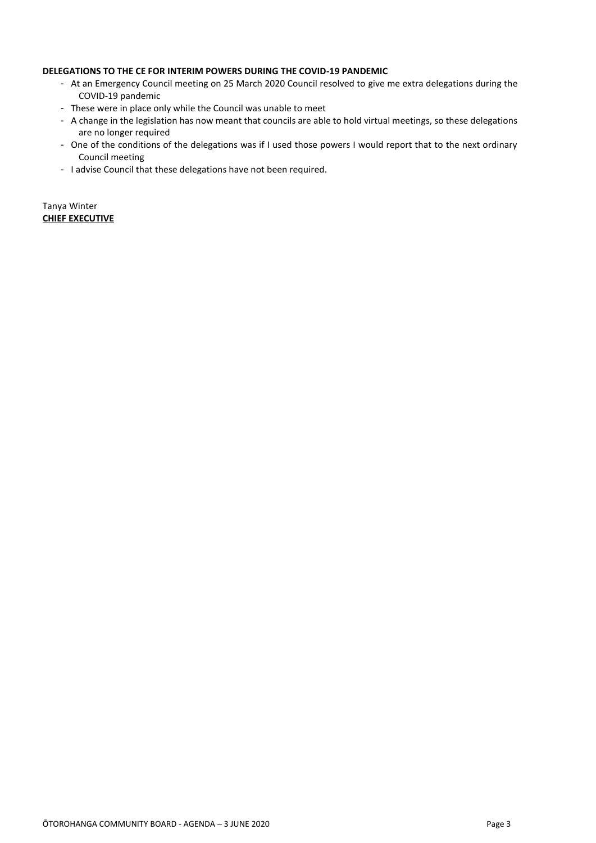#### **DELEGATIONS TO THE CE FOR INTERIM POWERS DURING THE COVID-19 PANDEMIC**

- At an Emergency Council meeting on 25 March 2020 Council resolved to give me extra delegations during the COVID-19 pandemic
- These were in place only while the Council was unable to meet
- A change in the legislation has now meant that councils are able to hold virtual meetings, so these delegations are no longer required
- One of the conditions of the delegations was if I used those powers I would report that to the next ordinary Council meeting
- I advise Council that these delegations have not been required.

Tanya Winter **CHIEF EXECUTIVE**